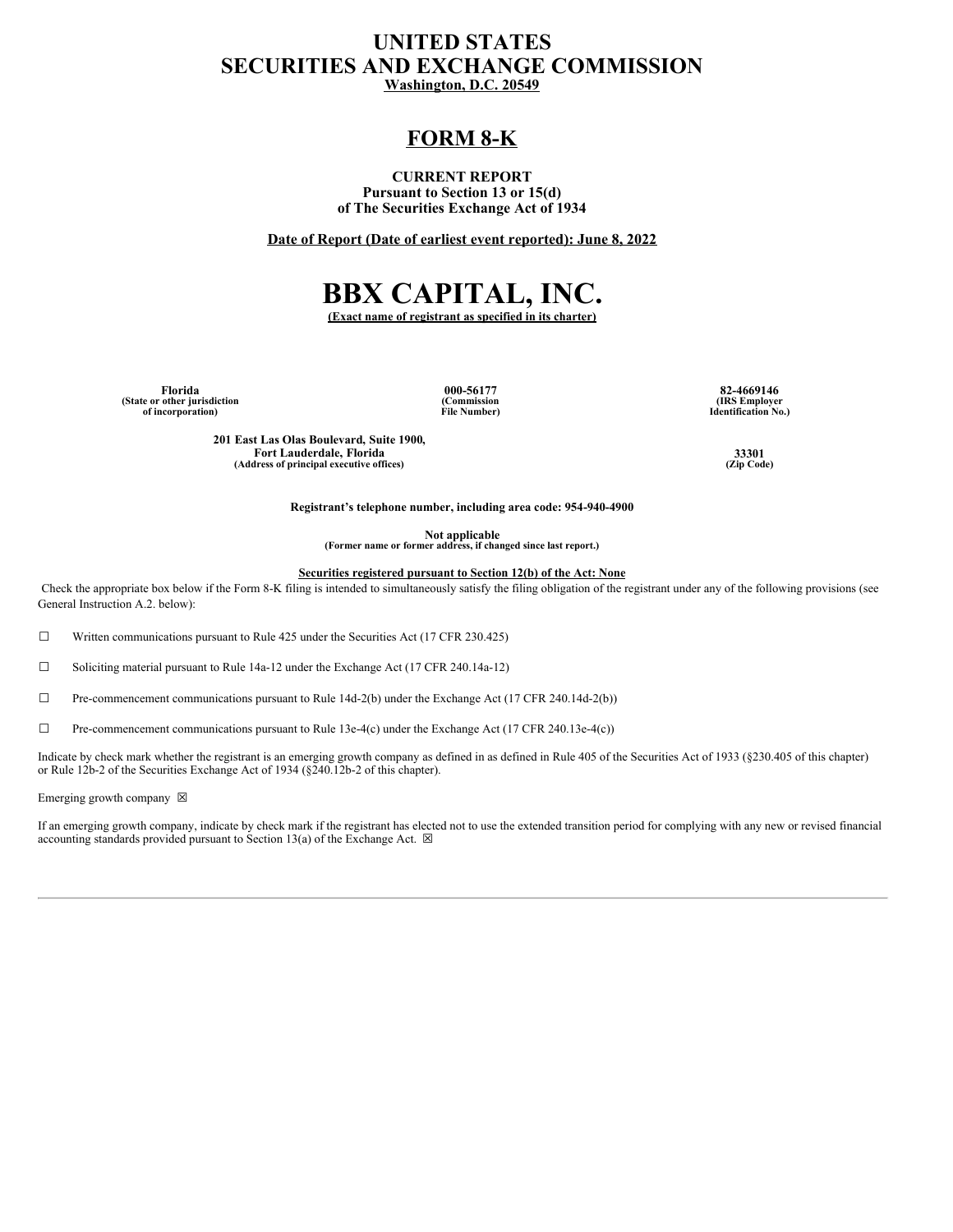## **UNITED STATES SECURITIES AND EXCHANGE COMMISSION Washington, D.C. 20549**

## **FORM 8-K**

**CURRENT REPORT Pursuant to Section 13 or 15(d) of The Securities Exchange Act of 1934**

**Date of Report (Date of earliest event reported): June 8, 2022**

# **BBX CAPITAL, INC.**

**(Exact name of registrant as specified in its charter)**

**(State or other jurisdiction of incorporation)**

**(Commission File Number)**

**Florida 000-56177 82-4669146 (IRS Employer Identification No.)**

**201 East Las Olas Boulevard, Suite 1900, Fort Lauderdale, Florida 33301**<br> **dress of principal executive offices** (Zip Code) **(Zip Code) (Address of principal executive offices) (Zip Code)**

**Registrant's telephone number, including area code: 954-940-4900**

**Not applicable (Former name or former address, if changed since last report.)**

**Securities registered pursuant to Section 12(b) of the Act: None**

Check the appropriate box below if the Form 8-K filing is intended to simultaneously satisfy the filing obligation of the registrant under any of the following provisions (see General Instruction A.2. below):

 $\Box$  Written communications pursuant to Rule 425 under the Securities Act (17 CFR 230.425)

☐ Soliciting material pursuant to Rule 14a-12 under the Exchange Act (17 CFR 240.14a-12)

 $\Box$  Pre-commencement communications pursuant to Rule 14d-2(b) under the Exchange Act (17 CFR 240.14d-2(b))

☐ Pre-commencement communications pursuant to Rule 13e-4(c) under the Exchange Act (17 CFR 240.13e-4(c))

Indicate by check mark whether the registrant is an emerging growth company as defined in as defined in Rule 405 of the Securities Act of 1933 (§230.405 of this chapter) or Rule 12b-2 of the Securities Exchange Act of 1934 (§240.12b-2 of this chapter).

Emerging growth company  $~\boxtimes~$ 

If an emerging growth company, indicate by check mark if the registrant has elected not to use the extended transition period for complying with any new or revised financial accounting standards provided pursuant to Section 13(a) of the Exchange Act.  $\boxtimes$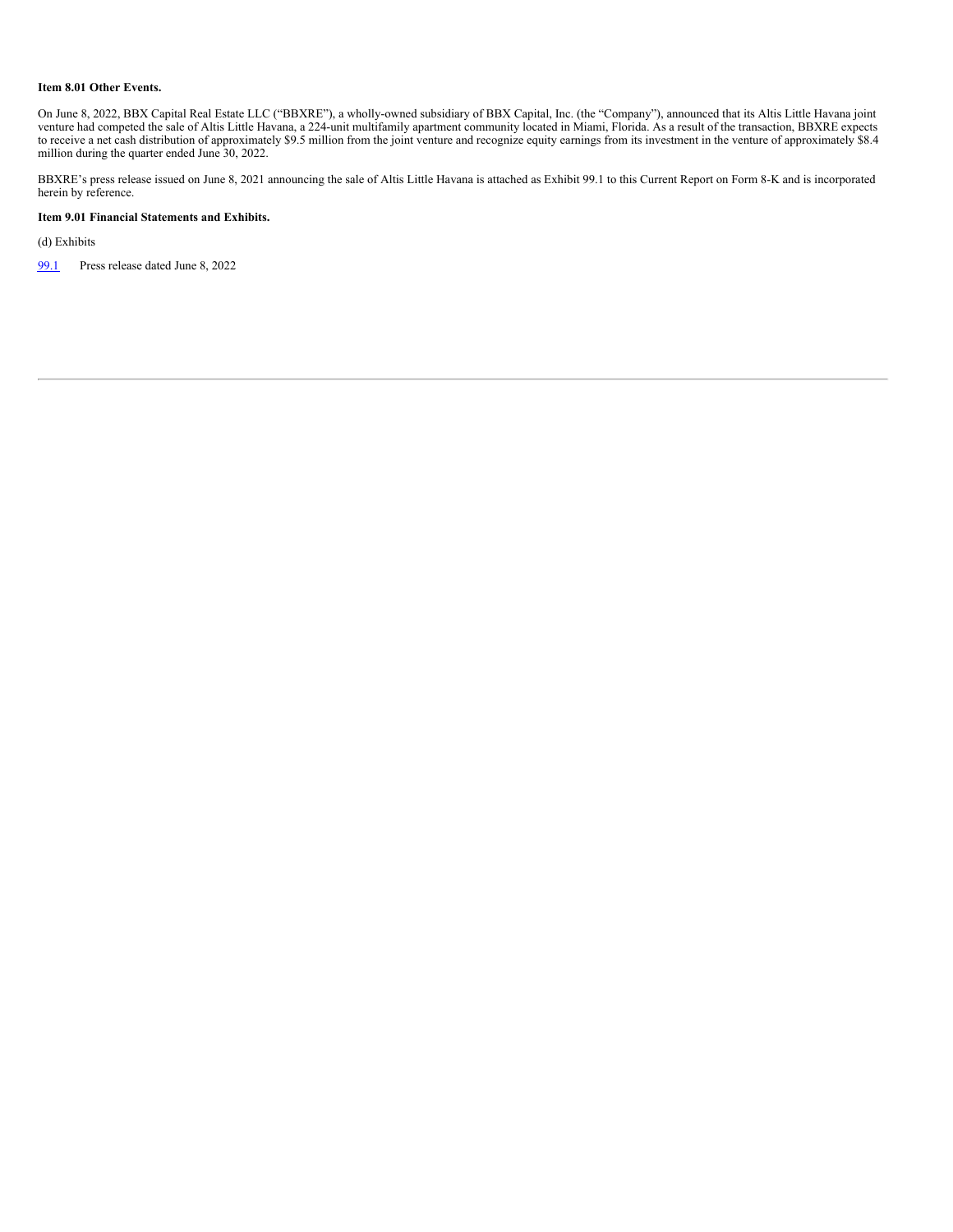#### **Item 8.01 Other Events.**

On June 8, 2022, BBX Capital Real Estate LLC ("BBXRE"), a wholly-owned subsidiary of BBX Capital, Inc. (the "Company"), announced that its Altis Little Havana joint venture had competed the sale of Altis Little Havana, a 224-unit multifamily apartment community located in Miami, Florida. As a result of the transaction, BBXRE expects to receive a net cash distribution of approximately \$9.5 million from the joint venture and recognize equity earnings from its investment in the venture of approximately \$8.4 million during the quarter ended June 30, 2022.

BBXRE's press release issued on June 8, 2021 announcing the sale of Altis Little Havana is attached as Exhibit 99.1 to this Current Report on Form 8-K and is incorporated herein by reference.

#### **Item 9.01 Financial Statements and Exhibits.**

(d) Exhibits

[99.1](#page-3-0) Press release dated June 8, 2022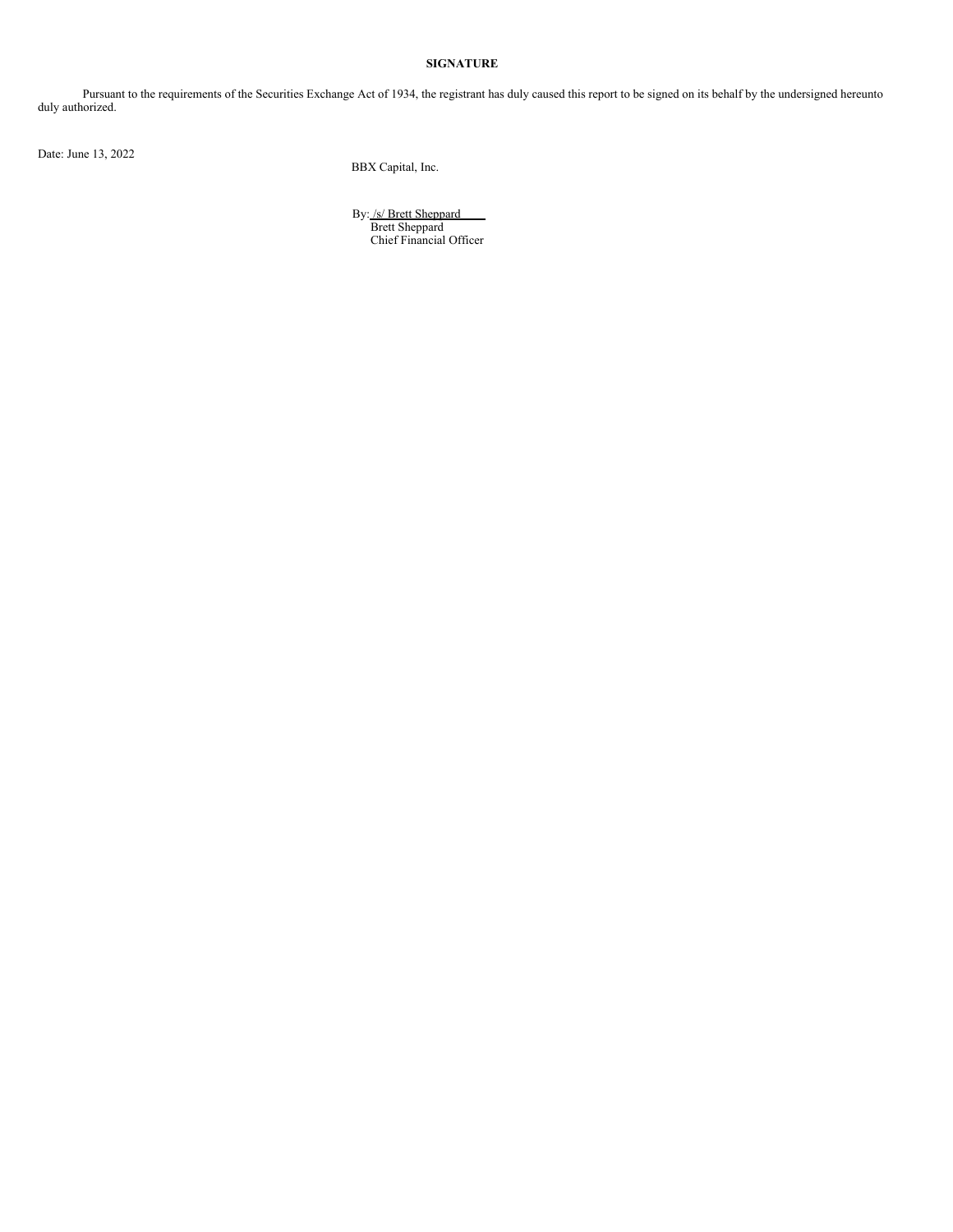#### **SIGNATURE**

Pursuant to the requirements of the Securities Exchange Act of 1934, the registrant has duly caused this report to be signed on its behalf by the undersigned hereunto duly authorized.

Date: June 13, 2022

BBX Capital, Inc.

By: /s/ Brett Sheppard Brett Sheppard Chief Financial Officer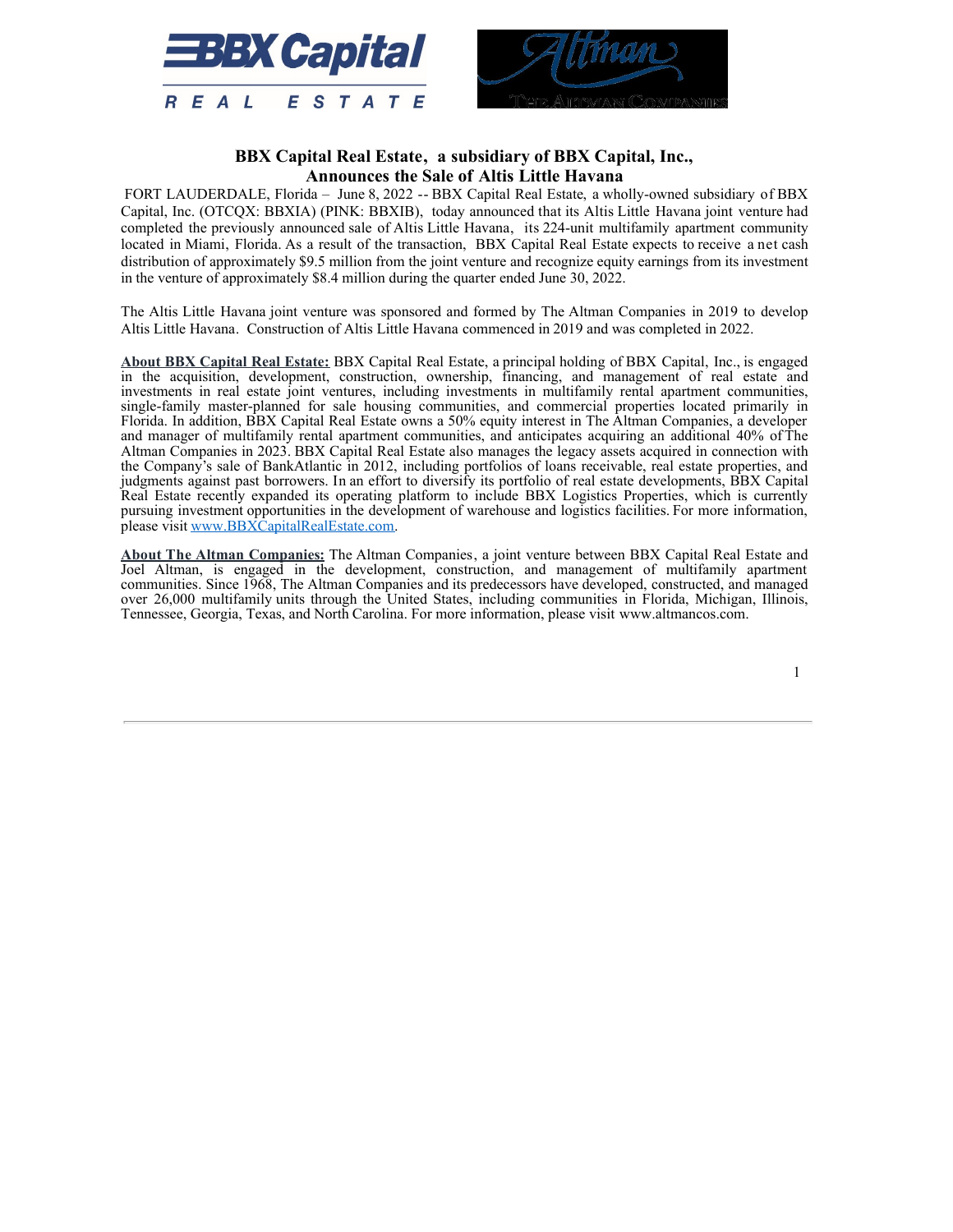<span id="page-3-0"></span>



### **BBX Capital Real Estate, a subsidiary of BBX Capital, Inc., Announces the Sale of Altis Little Havana**

FORT LAUDERDALE, Florida – June 8, 2022 -- BBX Capital Real Estate, a wholly-owned subsidiary of BBX Capital, Inc. (OTCQX: BBXIA) (PINK: BBXIB), today announced that its Altis Little Havana joint venture had completed the previously announced sale of Altis Little Havana, its 224-unit multifamily apartment community located in Miami, Florida. As a result of the transaction, BBX Capital Real Estate expects to receive a net cash distribution of approximately \$9.5 million from the joint venture and recognize equity earnings from its investment in the venture of approximately \$8.4 million during the quarter ended June 30, 2022.

The Altis Little Havana joint venture was sponsored and formed by The Altman Companies in 2019 to develop Altis Little Havana. Construction of Altis Little Havana commenced in 2019 and was completed in 2022.

**About BBX Capital Real Estate:** BBX Capital Real Estate, a principal holding of BBX Capital, Inc., is engaged in the acquisition, development, construction, ownership, financing, and management of real estate and investments in real estate joint ventures, including investments in multifamily rental apartment communities, single-family master-planned for sale housing communities, and commercial properties located primarily in Florida. In addition, BBX Capital Real Estate owns a 50% equity interest in The Altman Companies, a developer and manager of multifamily rental apartment communities, and anticipates acquiring an additional 40% of The Altman Companies in 2023. BBX Capital Real Estate also manages the legacy assets acquired in connection with the Company's sale of BankAtlantic in 2012, including portfolios of loans receivable, real estate properties, and judgments against past borrowers. In an effort to diversify its portfolio of real estate developments, BBX Capital Real Estate recently expanded its operating platform to include BBX Logistics Properties, which is currently pursuing investment opportunities in the development of warehouse and logistics facilities. For more information, please visit www.BBXCapitalRealEstate.com.

**About The Altman Companies:** The Altman Companies, a joint venture between BBX Capital Real Estate and Joel Altman, is engaged in the development, construction, and management of multifamily apartment communities. Since 1968, The Altman Companies and its predecessors have developed, constructed, and managed over 26,000 multifamily units through the United States, including communities in Florida, Michigan, Illinois, Tennessee, Georgia, Texas, and North Carolina. For more information, please visit www.altmancos.com.